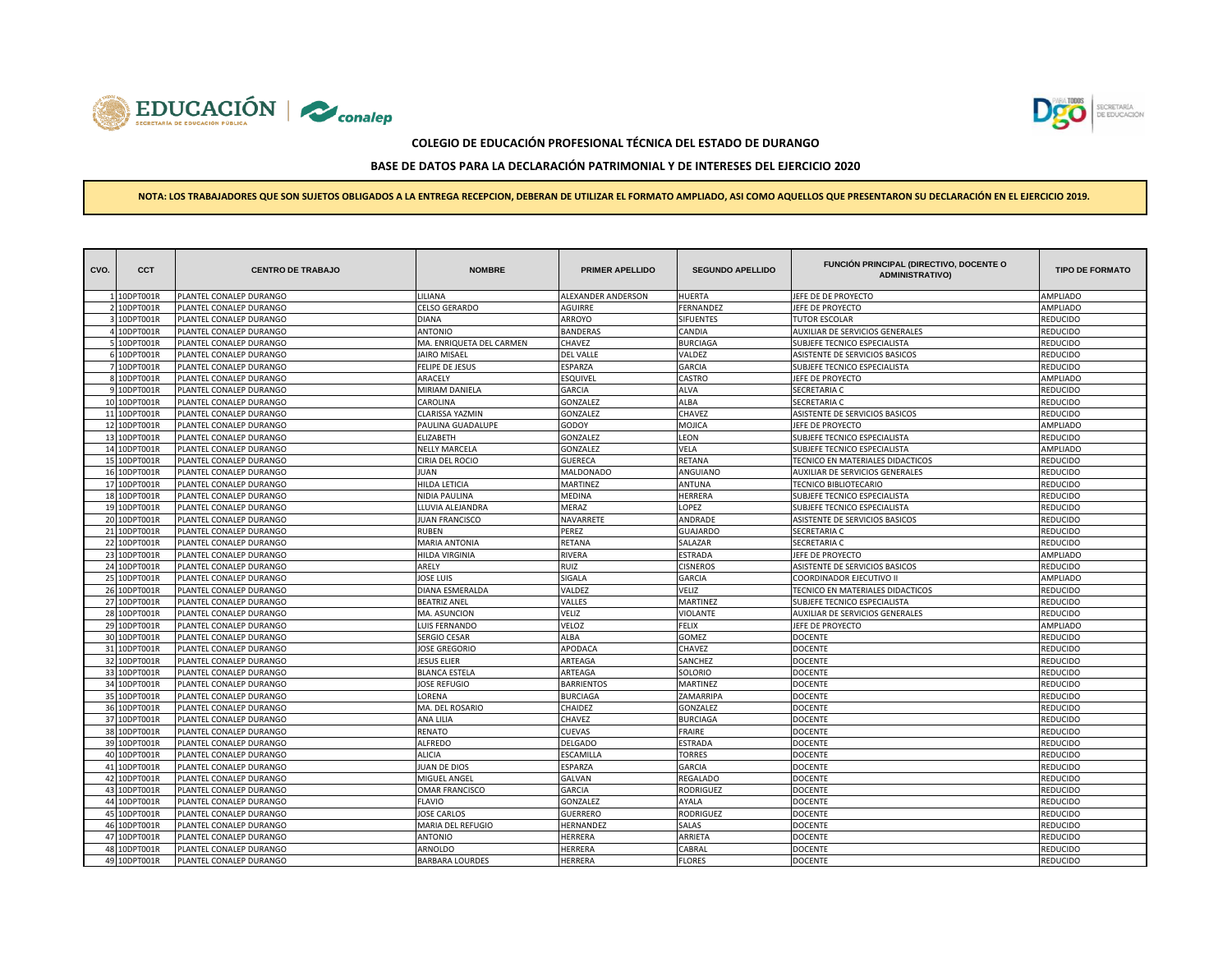



# **BASE DE DATOS PARA LA DECLARACIÓN PATRIMONIAL Y DE INTERESES DEL EJERCICIO 2020**

| CVO. | <b>CCT</b>   | <b>CENTRO DE TRABAJO</b> | <b>NOMBRE</b>            | <b>PRIMER APELLIDO</b> | <b>SEGUNDO APELLIDO</b> | FUNCIÓN PRINCIPAL (DIRECTIVO, DOCENTE O<br><b>ADMINISTRATIVO)</b> | <b>TIPO DE FORMATO</b> |
|------|--------------|--------------------------|--------------------------|------------------------|-------------------------|-------------------------------------------------------------------|------------------------|
|      | 1 10DPT001R  | PLANTEL CONALEP DURANGO  | LILIANA                  | ALEXANDER ANDERSON     | HUERTA                  | JEFE DE DE PROYECTO                                               | AMPLIADO               |
|      | 2 10DPT001R  | PLANTEL CONALEP DURANGO  | <b>CELSO GERARDO</b>     | <b>AGUIRRE</b>         | FERNANDEZ               | JEFE DE PROYECTO                                                  | AMPLIADO               |
|      | 3 10DPT001R  | PLANTEL CONALEP DURANGO  | <b>DIANA</b>             | ARROYO                 | <b>SIFUENTES</b>        | <b>TUTOR ESCOLAR</b>                                              | REDUCIDO               |
|      | 4 10DPT001R  | PLANTEL CONALEP DURANGO  | <b>ANTONIO</b>           | <b>BANDERAS</b>        | CANDIA                  | AUXILIAR DE SERVICIOS GENERALES                                   | REDUCIDO               |
|      | 5 10DPT001R  | PLANTEL CONALEP DURANGO  | MA. ENRIQUETA DEL CARMEN | CHAVEZ                 | <b>BURCIAGA</b>         | SUBJEFE TECNICO ESPECIALISTA                                      | REDUCIDO               |
|      | 6 10DPT001R  | PLANTEL CONALEP DURANGO  | <b>JAIRO MISAEL</b>      | <b>DEL VALLE</b>       | VALDEZ                  | ASISTENTE DE SERVICIOS BASICOS                                    | REDUCIDO               |
|      | 7 10DPT001R  | PLANTEL CONALEP DURANGO  | <b>FELIPE DE JESUS</b>   | ESPARZA                | GARCIA                  | SUBJEFE TECNICO ESPECIALISTA                                      | REDUCIDO               |
|      | 8 10DPT001R  | PLANTEL CONALEP DURANGO  | ARACELY                  | ESQUIVEL               | CASTRO                  | JEFE DE PROYECTO                                                  | AMPLIADO               |
|      | 9 10DPT001R  | PLANTEL CONALEP DURANGO  | MIRIAM DANIELA           | <b>GARCIA</b>          | <b>ALVA</b>             | SECRETARIA C                                                      | REDUCIDO               |
|      | 10 10DPT001R | PLANTEL CONALEP DURANGO  | CAROLINA                 | GONZALEZ               | ALBA                    | SECRETARIA C                                                      | REDUCIDO               |
|      | 11 10DPT001R | PLANTEL CONALEP DURANGO  | CLARISSA YAZMIN          | GONZALEZ               | CHAVEZ                  | ASISTENTE DE SERVICIOS BASICOS                                    | REDUCIDO               |
|      | 12 10DPT001R | PLANTEL CONALEP DURANGO  | PAULINA GUADALUPE        | GODOY                  | MOJICA                  | JEFE DE PROYECTO                                                  | AMPLIADO               |
|      | 13 10DPT001R | PLANTEL CONALEP DURANGO  | ELIZABETH                | GONZALEZ               | LEON                    | SUBJEFE TECNICO ESPECIALISTA                                      | REDUCIDO               |
|      | 14 10DPT001R | PLANTEL CONALEP DURANGO  | <b>NELLY MARCELA</b>     | GONZALEZ               | VELA                    | SUBJEFE TECNICO ESPECIALISTA                                      | AMPLIADO               |
|      | 15 10DPT001R | PLANTEL CONALEP DURANGO  | CIRIA DEL ROCIO          | <b>GUERECA</b>         | RETANA                  | TECNICO EN MATERIALES DIDACTICOS                                  | REDUCIDO               |
|      | 16 10DPT001R | PLANTEL CONALEP DURANGO  | JUAN                     | MALDONADO              | ANGUIANO                | AUXILIAR DE SERVICIOS GENERALES                                   | REDUCIDO               |
|      | 17 10DPT001R | PLANTEL CONALEP DURANGO  | <b>HILDA LETICIA</b>     | <b>MARTINEZ</b>        | ANTUNA                  | <b>TECNICO BIBLIOTECARIO</b>                                      | REDUCIDO               |
|      | 18 10DPT001R | PLANTEL CONALEP DURANGO  | NIDIA PAULINA            | <b>MEDINA</b>          | HERRERA                 | SUBJEFE TECNICO ESPECIALISTA                                      | REDUCIDO               |
|      | 19 10DPT001R | PLANTEL CONALEP DURANGO  | LLUVIA ALEJANDRA         | MERAZ                  | LOPEZ                   | SUBJEFE TECNICO ESPECIALISTA                                      | REDUCIDO               |
|      | 20 10DPT001R | PLANTEL CONALEP DURANGO  | <b>JUAN FRANCISCO</b>    | NAVARRETE              | ANDRADE                 | ASISTENTE DE SERVICIOS BASICOS                                    | REDUCIDO               |
|      | 21 10DPT001R | PLANTEL CONALEP DURANGO  | <b>RUBEN</b>             | PEREZ                  | <b>GUAJARDO</b>         | SECRETARIA C                                                      | REDUCIDO               |
|      | 22 10DPT001R | PLANTEL CONALEP DURANGO  | <b>MARIA ANTONIA</b>     | RETANA                 | SALAZAR                 | SECRETARIA C                                                      | REDUCIDO               |
|      | 23 10DPT001R | PLANTEL CONALEP DURANGO  | <b>HILDA VIRGINIA</b>    | RIVERA                 | <b>ESTRADA</b>          | JEFE DE PROYECTO                                                  | AMPLIADO               |
|      | 24 10DPT001R | PLANTEL CONALEP DURANGO  | ARELY                    | RUIZ                   | <b>CISNEROS</b>         | ASISTENTE DE SERVICIOS BASICOS                                    | REDUCIDO               |
|      | 25 10DPT001R | PLANTEL CONALEP DURANGO  | <b>JOSE LUIS</b>         | SIGALA                 | <b>GARCIA</b>           | COORDINADOR EJECUTIVO II                                          | AMPLIADO               |
|      | 26 10DPT001R | PLANTEL CONALEP DURANGO  | DIANA ESMERALDA          | VALDEZ                 | VELIZ                   | TECNICO EN MATERIALES DIDACTICOS                                  | REDUCIDO               |
|      | 27 10DPT001R | PLANTEL CONALEP DURANGO  | <b>BEATRIZ ANEL</b>      | VALLES                 | MARTINEZ                | SUBJEFE TECNICO ESPECIALISTA                                      | <b>EDUCIDO</b>         |
|      | 28 10DPT001R | PLANTEL CONALEP DURANGO  | MA. ASUNCION             | VELIZ                  | <b>VIOLANTE</b>         | AUXILIAR DE SERVICIOS GENERALES                                   | REDUCIDO               |
|      | 29 10DPT001R | PLANTEL CONALEP DURANGO  | LUIS FERNANDO            | VELOZ                  | <b>FELIX</b>            | JEFE DE PROYECTO                                                  | AMPLIADO               |
|      | 30 10DPT001R | PLANTEL CONALEP DURANGO  | <b>SERGIO CESAR</b>      | <b>ALBA</b>            | GOMEZ                   | <b>DOCENTE</b>                                                    | REDUCIDO               |
|      | 31 10DPT001R | PLANTEL CONALEP DURANGO  | <b>JOSE GREGORIO</b>     | APODACA                | CHAVEZ                  | <b>DOCENTE</b>                                                    | REDUCIDO               |
|      | 32 10DPT001R | PLANTEL CONALEP DURANGO  | <b>JESUS ELIER</b>       | ARTEAGA                | SANCHEZ                 | <b>DOCENTE</b>                                                    | REDUCIDO               |
|      | 33 10DPT001R | PLANTEL CONALEP DURANGO  | <b>BLANCA ESTELA</b>     | ARTEAGA                | SOLORIO                 | <b>DOCENTE</b>                                                    | REDUCIDO               |
|      | 34 10DPT001R | PLANTEL CONALEP DURANGO  | <b>JOSE REFUGIO</b>      | <b>BARRIENTOS</b>      | MARTINEZ                | <b>DOCENTE</b>                                                    | REDUCIDO               |
|      | 35 10DPT001R | PLANTEL CONALEP DURANGO  | LORENA                   | <b>BURCIAGA</b>        | ZAMARRIPA               | <b>DOCENTE</b>                                                    | REDUCIDO               |
|      | 36 10DPT001R | PLANTEL CONALEP DURANGO  | MA. DEL ROSARIO          | CHAIDEZ                | GONZALEZ                | <b>DOCENTE</b>                                                    | REDUCIDO               |
|      | 37 10DPT001R | PLANTEL CONALEP DURANGO  | ANA LILIA                | CHAVEZ                 | <b>BURCIAGA</b>         | <b>DOCENTE</b>                                                    | <b>EDUCIDO</b>         |
|      | 38 10DPT001R | PLANTEL CONALEP DURANGO  | RENATO                   | <b>CUEVAS</b>          | <b>FRAIRE</b>           | <b>DOCENTE</b>                                                    | REDUCIDO               |
|      | 39 10DPT001R | PLANTEL CONALEP DURANGO  | ALFREDO                  | DELGADO                | ESTRADA                 | <b>DOCENTE</b>                                                    | REDUCIDO               |
|      | 40 10DPT001R | PLANTEL CONALEP DURANGO  | <b>ALICIA</b>            | <b>ESCAMILLA</b>       | <b>TORRES</b>           | <b>DOCENTE</b>                                                    | REDUCIDO               |
|      | 41 10DPT001R | PLANTEL CONALEP DURANGO  | <b>JUAN DE DIOS</b>      | ESPARZA                | GARCIA                  | <b>DOCENTE</b>                                                    | REDUCIDO               |
|      | 42 10DPT001R | PLANTEL CONALEP DURANGO  | MIGUEL ANGEL             | GALVAN                 | REGALADO                | <b>DOCENTE</b>                                                    | REDUCIDO               |
|      | 43 10DPT001R | PLANTEL CONALEP DURANGO  | <b>OMAR FRANCISCO</b>    | GARCIA                 | <b>RODRIGUEZ</b>        | <b>DOCENTE</b>                                                    | REDUCIDO               |
|      | 44 10DPT001R | PLANTEL CONALEP DURANGO  | <b>FLAVIO</b>            | GONZALEZ               | AYALA                   | <b>DOCENTE</b>                                                    | REDUCIDO               |
|      | 45 10DPT001R | PLANTEL CONALEP DURANGO  | <b>JOSE CARLOS</b>       | <b>GUERRERO</b>        | RODRIGUEZ               | <b>DOCENTE</b>                                                    | REDUCIDO               |
|      | 46 10DPT001R | PLANTEL CONALEP DURANGO  | MARIA DEL REFUGIO        | HERNANDEZ              | SALAS                   | <b>DOCENTE</b>                                                    | REDUCIDO               |
|      | 47 10DPT001R | PLANTEL CONALEP DURANGO  | <b>ANTONIO</b>           | HERRERA                | ARRIETA                 | <b>DOCENTE</b>                                                    | REDUCIDO               |
|      | 48 10DPT001R | PLANTEL CONALEP DURANGO  | ARNOLDO                  | HERRERA                | CABRAL                  | <b>DOCENTE</b>                                                    | REDUCIDO               |
|      | 49 10DPT001R | PLANTEL CONALEP DURANGO  | <b>BARBARA LOURDES</b>   | HERRERA                | <b>FLORES</b>           | <b>DOCENTE</b>                                                    | REDUCIDO               |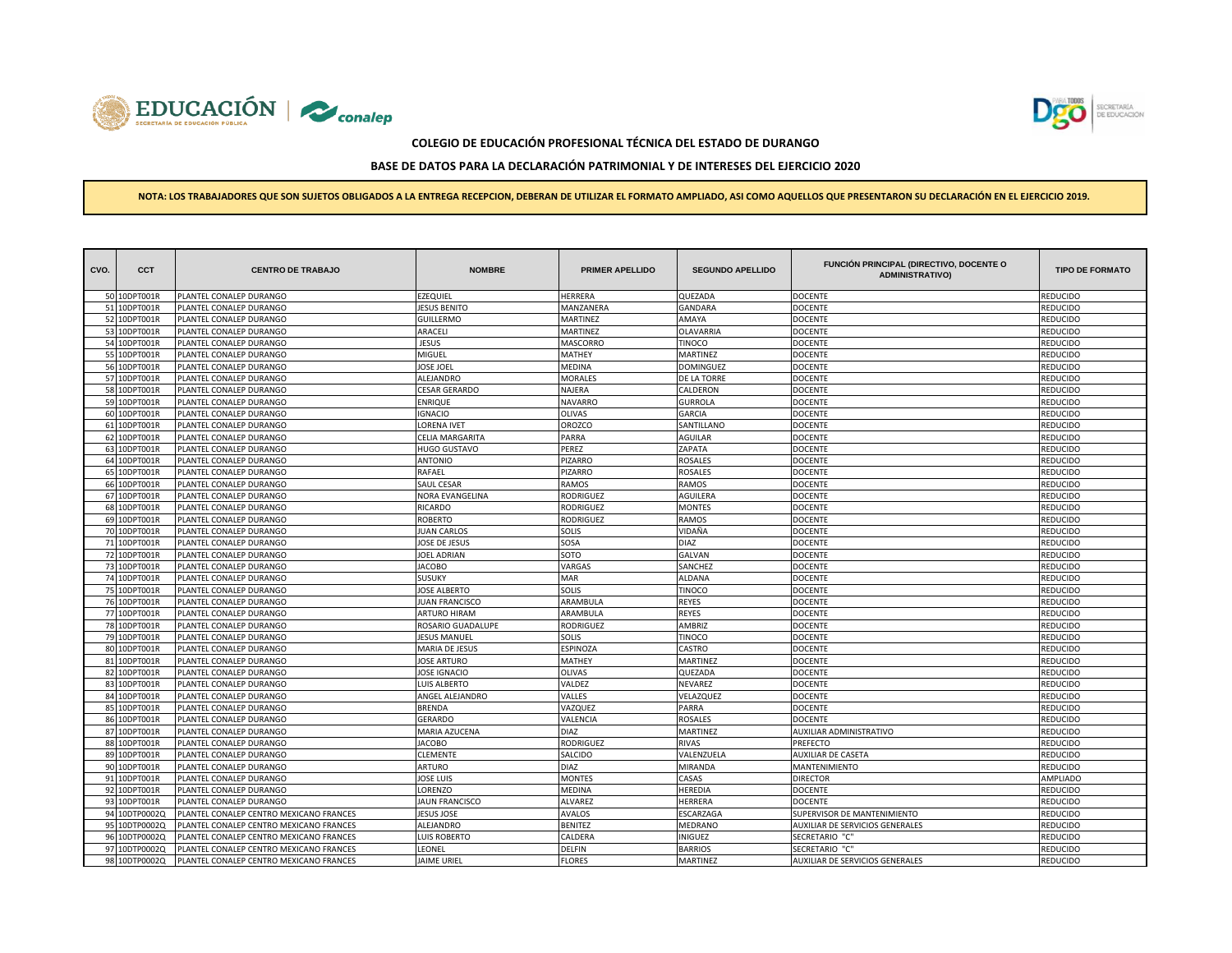



# **BASE DE DATOS PARA LA DECLARACIÓN PATRIMONIAL Y DE INTERESES DEL EJERCICIO 2020**

| CVO. | <b>CCT</b>                   | <b>CENTRO DE TRABAJO</b>                           | <b>NOMBRE</b>               | <b>PRIMER APELLIDO</b>          | <b>SEGUNDO APELLIDO</b> | FUNCIÓN PRINCIPAL (DIRECTIVO, DOCENTE O<br><b>ADMINISTRATIVO)</b> | <b>TIPO DE FORMATO</b>            |
|------|------------------------------|----------------------------------------------------|-----------------------------|---------------------------------|-------------------------|-------------------------------------------------------------------|-----------------------------------|
|      | 50 10DPT001R                 | PLANTEL CONALEP DURANGO                            | EZEQUIEL                    | HERRERA                         | QUEZADA                 | <b>DOCENTE</b>                                                    | REDUCIDO                          |
|      | 51 10DPT001R                 | PLANTEL CONALEP DURANGO                            | <b>ESUS BENITO</b>          | MANZANERA                       | <b>GANDARA</b>          | <b>DOCENTE</b>                                                    | <b>REDUCIDO</b>                   |
|      | 52 10DPT001R                 | PLANTEL CONALEP DURANGO                            | GUILLERMO                   | MARTINEZ                        | AMAYA                   | <b>DOCENTE</b>                                                    | REDUCIDO                          |
|      | 53 10DPT001R                 | PLANTEL CONALEP DURANGO                            | ARACELI                     | MARTINEZ                        | <b>OLAVARRIA</b>        | <b>DOCENTE</b>                                                    | REDUCIDO                          |
|      | 54 10DPT001R                 | PLANTEL CONALEP DURANGO                            | JESUS                       | MASCORRO                        | <b>TINOCO</b>           | <b>DOCENTE</b>                                                    | REDUCIDO                          |
|      | 55 10DPT001R                 | PLANTEL CONALEP DURANGO                            | MIGUEL                      | MATHEY                          | MARTINEZ                | <b>DOCENTE</b>                                                    | <b>REDUCIDO</b>                   |
|      | 56 10DPT001R                 | PLANTEL CONALEP DURANGO                            | <b>JOSE JOEL</b>            | MEDINA                          | <b>DOMINGUEZ</b>        | <b>DOCENTE</b>                                                    | REDUCIDO                          |
|      | 57 10DPT001R                 | PLANTEL CONALEP DURANGO                            | <b>ILEJANDRO</b>            | <b>MORALES</b>                  | DE LA TORRE             | <b>DOCENTE</b>                                                    | <b>EDUCIDO</b>                    |
|      | 58 10DPT001R                 | PLANTEL CONALEP DURANGO                            | CESAR GERARDO               | NAJERA                          | CALDERON                | <b>DOCENTE</b>                                                    | REDUCIDO                          |
|      | 59 10DPT001R                 | PLANTEL CONALEP DURANGO                            | ENRIQUE                     | <b>NAVARRO</b>                  | <b>GURROLA</b>          | <b>DOCENTE</b>                                                    | REDUCIDO                          |
|      | 60 10DPT001R                 | PLANTEL CONALEP DURANGO                            | <b>IGNACIO</b>              | OLIVAS                          | <b>GARCIA</b>           | <b>DOCENTE</b>                                                    | REDUCIDO                          |
|      | 61 10DPT001R                 | PLANTEL CONALEP DURANGO                            | LORENA IVET                 | OROZCO                          | SANTILLANO              | <b>DOCENTE</b>                                                    | REDUCIDO                          |
|      | 62 10DPT001R                 | PLANTEL CONALEP DURANGO                            | CELIA MARGARITA             | PARRA                           | <b>AGUILAR</b>          | <b>DOCENTE</b>                                                    | REDUCIDO                          |
|      | 63 10DPT001R                 | PLANTEL CONALEP DURANGO                            | <b>IUGO GUSTAVO</b>         | PEREZ                           | ZAPATA                  | <b>DOCENTE</b>                                                    | <b>REDUCIDO</b>                   |
|      | 64 10DPT001R                 | PLANTEL CONALEP DURANGO                            | <b>ANTONIO</b>              | PIZARRO                         | <b>ROSALES</b>          | <b>DOCENTE</b>                                                    | REDUCIDO                          |
|      | 65 10DPT001R                 | PLANTEL CONALEP DURANGO                            | RAFAEL                      | PIZARRO                         | <b>ROSALES</b>          | <b>DOCENTE</b>                                                    | REDUCIDO                          |
|      | 66 10DPT001R                 | PLANTEL CONALEP DURANGO                            | SAUL CESAR                  | RAMOS                           | RAMOS                   | <b>DOCENTE</b>                                                    | REDUCIDO                          |
|      | 67 10DPT001R                 | PLANTEL CONALEP DURANGO                            | <b>VORA EVANGELINA</b>      | RODRIGUEZ                       | <b>AGUILERA</b>         | <b>DOCENTE</b>                                                    | REDUCIDO                          |
|      | 68 10DPT001R                 | PLANTEL CONALEP DURANGO                            | RICARDO                     | RODRIGUEZ                       | <b>MONTES</b>           | <b>DOCENTE</b>                                                    | REDUCIDO                          |
|      | 69 10DPT001R                 | PLANTEL CONALEP DURANGO                            | ROBERTO                     | RODRIGUEZ                       | RAMOS                   | <b>DOCENTE</b>                                                    | <b>REDUCIDO</b>                   |
|      | 70 10DPT001R                 | PLANTEL CONALEP DURANGO                            | <b>JUAN CARLOS</b>          | SOLIS                           | VIDAÑA                  | <b>DOCENTE</b>                                                    | REDUCIDO                          |
|      | 71 10DPT001R                 | PLANTEL CONALEP DURANGO                            | <b>JOSE DE JESUS</b>        | SOSA                            | DIAZ                    | <b>DOCENTE</b>                                                    | REDUCIDO                          |
|      | 72 10DPT001R                 | PLANTEL CONALEP DURANGO                            | JOEL ADRIAN                 | SOTO                            | <b>GALVAN</b>           | <b>DOCENTE</b>                                                    | REDUCIDO                          |
|      | 73 10DPT001R                 | PLANTEL CONALEP DURANGO                            | <b>JACOBO</b>               | VARGAS                          | SANCHEZ                 | <b>DOCENTE</b>                                                    | REDUCIDO                          |
|      | 74 10DPT001R                 | PLANTEL CONALEP DURANGO                            | SUSUKY                      | MAR                             | ALDANA                  | <b>DOCENTE</b>                                                    | REDUCIDO                          |
|      | 75 10DPT001R                 | PLANTEL CONALEP DURANGO                            | <b>JOSE ALBERTO</b>         | SOLIS                           | <b>TINOCO</b>           | <b>DOCENTE</b>                                                    | REDUCIDO                          |
|      | 76 10DPT001R                 | PLANTEL CONALEP DURANGO                            | <b>UAN FRANCISCO</b>        | ARAMBULA                        | <b>REYES</b>            | <b>DOCENTE</b>                                                    | REDUCIDO                          |
|      | 77 10DPT001R                 | PLANTEL CONALEP DURANGO                            | <b>ARTURO HIRAM</b>         | ARAMBULA                        | <b>REYES</b>            | <b>DOCENTE</b>                                                    | REDUCIDO                          |
|      | 78 10DPT001R                 | PLANTEL CONALEP DURANGO                            | ROSARIO GUADALUPE           | RODRIGUEZ                       | AMBRIZ                  | <b>DOCENTE</b>                                                    | REDUCIDO                          |
|      | 79 10DPT001R                 | PLANTEL CONALEP DURANGO                            | <b>JESUS MANUEL</b>         | SOLIS                           | <b>TINOCO</b>           | <b>DOCENTE</b>                                                    | <b>REDUCIDO</b>                   |
|      | 80 10DPT001R                 | PLANTEL CONALEP DURANGO                            | MARIA DE JESUS              | ESPINOZA                        | CASTRO                  | <b>DOCENTE</b>                                                    | REDUCIDO                          |
|      | 81 10DPT001R                 | PLANTEL CONALEP DURANGO                            | <b>OSE ARTURO</b>           | MATHEY                          | MARTINEZ                | <b>DOCENTE</b>                                                    | <b>EDUCIDO</b>                    |
|      | 82 10DPT001R                 | PLANTEL CONALEP DURANGO                            | <b>JOSE IGNACIO</b>         | <b>OLIVAS</b>                   | QUEZADA                 | <b>DOCENTE</b>                                                    | REDUCIDO                          |
|      | 83 10DPT001R                 | PLANTEL CONALEP DURANGO                            | LUIS ALBERTO                | VALDEZ                          | <b>NEVAREZ</b>          | <b>DOCENTE</b>                                                    | REDUCIDO                          |
|      | 84 10DPT001R                 | PLANTEL CONALEP DURANGO                            | ANGEL ALEJANDRO             | VALLES                          | VELAZQUEZ               | <b>DOCENTE</b>                                                    | REDUCIDO                          |
|      | 85 10DPT001R                 | PLANTEL CONALEP DURANGO                            | BRENDA                      | VAZQUEZ                         | PARRA                   | <b>DOCENTE</b>                                                    | <b>REDUCIDO</b>                   |
|      | 86 10DPT001R                 | PLANTEL CONALEP DURANGO                            | GERARDO                     | VALENCIA                        | <b>ROSALES</b>          | <b>DOCENTE</b>                                                    | REDUCIDO                          |
|      | 87 10DPT001R                 | PLANTEL CONALEP DURANGO                            | MARIA AZUCENA               | <b>DIAZ</b>                     | <b>MARTINEZ</b>         | AUXILIAR ADMINISTRATIVO                                           | REDUCIDO                          |
|      | 88 10DPT001R                 | PLANTEL CONALEP DURANGO                            | <b>JACOBO</b>               | RODRIGUEZ                       | <b>RIVAS</b>            | PREFECTO                                                          | <b>REDUCIDO</b>                   |
|      | 89 10DPT001R                 | PLANTEL CONALEP DURANGO                            | CLEMENTE                    | SALCIDO                         | VALENZUELA              | AUXILIAR DE CASETA                                                | REDUCIDO                          |
|      | 90 10DPT001R                 | PLANTEL CONALEP DURANGO                            | ARTURO                      | <b>DIAZ</b>                     | <b>MIRANDA</b>          | <b>MANTENIMIENTO</b>                                              | REDUCIDO                          |
|      | 91 10DPT001R<br>92 10DPT001R | PLANTEL CONALEP DURANGO                            | <b>JOSE LUIS</b><br>LORENZO | <b>MONTES</b>                   | CASAS<br><b>HEREDIA</b> | <b>DIRECTOR</b>                                                   | AMPLIADO                          |
|      | 93 10DPT001R                 | PLANTEL CONALEP DURANGO<br>PLANTEL CONALEP DURANGO | <b>JAUN FRANCISCO</b>       | <b>MEDINA</b><br><b>ALVAREZ</b> | HERRERA                 | <b>DOCENTE</b><br><b>DOCENTE</b>                                  | REDUCIDO                          |
|      | 94 10DTP0002Q                | PLANTEL CONALEP CENTRO MEXICANO FRANCES            | <b>ESUS JOSE</b>            | <b>AVALOS</b>                   | ESCARZAGA               | SUPERVISOR DE MANTENIMIENTO                                       | <b>REDUCIDO</b><br><b>EDUCIDO</b> |
|      | 95 10DTP0002Q                | PLANTEL CONALEP CENTRO MEXICANO FRANCES            | ALEJANDRO                   | <b>BENITEZ</b>                  | <b>MEDRANO</b>          | AUXILIAR DE SERVICIOS GENERALES                                   | REDUCIDO                          |
|      | 96 10DTP0002Q                | PLANTEL CONALEP CENTRO MEXICANO FRANCES            | <b>UIS ROBERTO</b>          | CALDERA                         | <b>INIGUEZ</b>          | SECRETARIO "C                                                     | REDUCIDO                          |
|      | 97 10DTP0002Q                | PLANTEL CONALEP CENTRO MEXICANO FRANCES            | <b>EONEL</b>                | DELFIN                          | <b>BARRIOS</b>          | SECRETARIO "C"                                                    | REDUCIDO                          |
|      | 98 10DTP0002Q                | PLANTEL CONALEP CENTRO MEXICANO FRANCES            | JAIME URIEL                 | <b>FLORES</b>                   | <b>MARTINEZ</b>         | AUXILIAR DE SERVICIOS GENERALES                                   | REDUCIDO                          |
|      |                              |                                                    |                             |                                 |                         |                                                                   |                                   |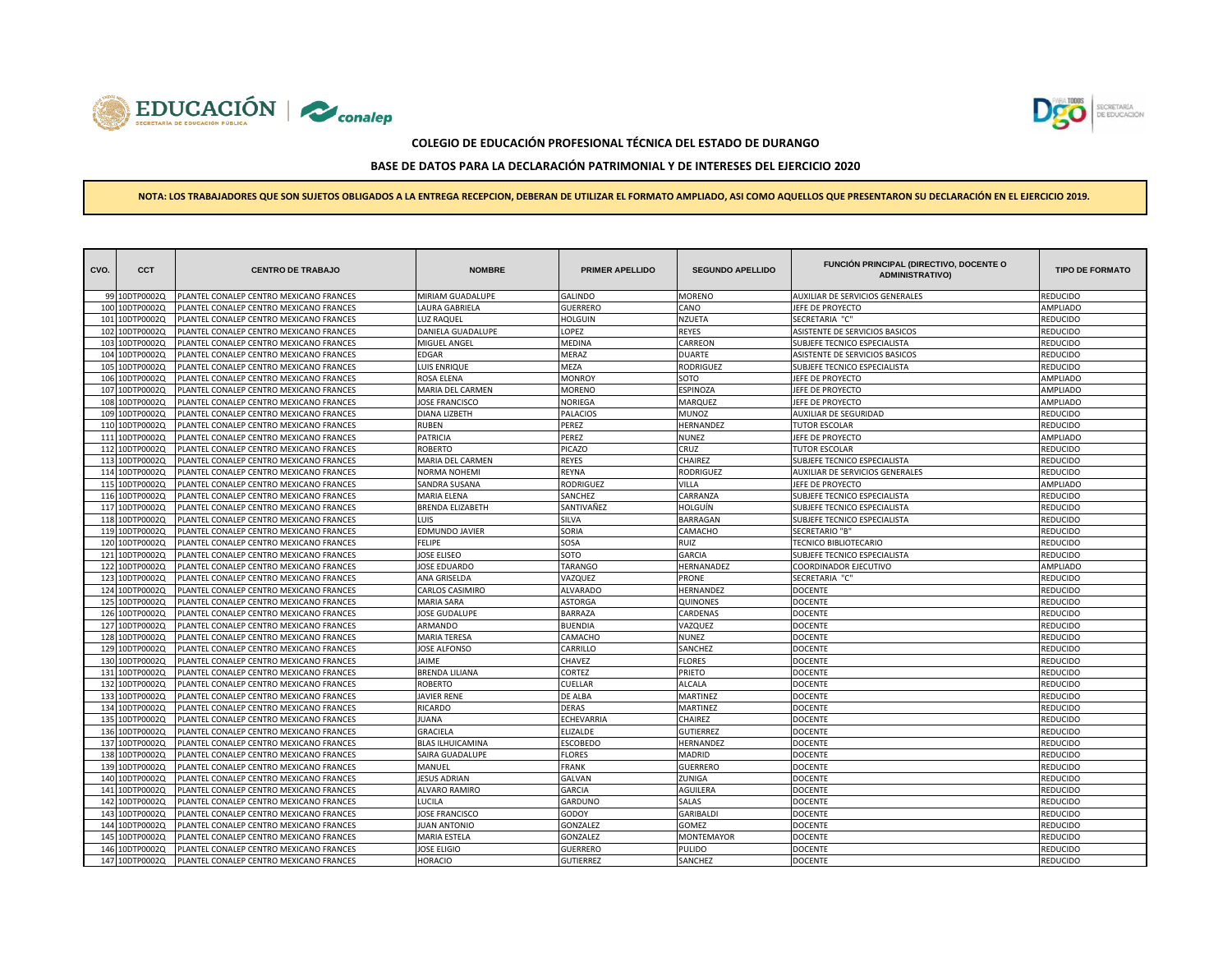



# **BASE DE DATOS PARA LA DECLARACIÓN PATRIMONIAL Y DE INTERESES DEL EJERCICIO 2020**

| CVO. | <b>CCT</b>     | <b>CENTRO DE TRABAJO</b>                | <b>NOMBRE</b>           | <b>PRIMER APELLIDO</b> | <b>SEGUNDO APELLIDO</b> | FUNCIÓN PRINCIPAL (DIRECTIVO, DOCENTE O<br><b>ADMINISTRATIVO)</b> | <b>TIPO DE FORMATO</b> |
|------|----------------|-----------------------------------------|-------------------------|------------------------|-------------------------|-------------------------------------------------------------------|------------------------|
|      | 99 10DTP0002Q  | PLANTEL CONALEP CENTRO MEXICANO FRANCES | MIRIAM GUADALUPE        | <b>GALINDO</b>         | MORENO                  | AUXILIAR DE SERVICIOS GENERALES                                   | REDUCIDO               |
| 100  | 10DTP0002Q     | PLANTEL CONALEP CENTRO MEXICANO FRANCES | LAURA GABRIELA          | GUERRERO               | CANO                    | JEFE DE PROYECTO                                                  | AMPLIADO               |
| 101  | 10DTP0002Q     | PLANTEL CONALEP CENTRO MEXICANO FRANCES | <b>LUZ RAQUEL</b>       | <b>HOLGUIN</b>         | <b>NZUETA</b>           | SECRETARIA "C"                                                    | REDUCIDO               |
| 102  | LODTP0002Q     | PLANTEL CONALEP CENTRO MEXICANO FRANCES | DANIELA GUADALUPE       | LOPEZ                  | <b>REYES</b>            | ASISTENTE DE SERVICIOS BASICOS                                    | REDUCIDO               |
| 103  | 10DTP0002Q     | PLANTEL CONALEP CENTRO MEXICANO FRANCES | MIGUEL ANGEL            | <b>MEDINA</b>          | CARREON                 | SUBJEFE TECNICO ESPECIALISTA                                      | REDUCIDO               |
| 104  | 10DTP0002Q     | PLANTEL CONALEP CENTRO MEXICANO FRANCES | <b>EDGAR</b>            | MERAZ                  | <b>DUARTE</b>           | ASISTENTE DE SERVICIOS BASICOS                                    | REDUCIDO               |
| 105  | 0DTP0002Q      | PLANTEL CONALEP CENTRO MEXICANO FRANCES | LUIS ENRIQUE            | MEZA                   | <b>RODRIGUEZ</b>        | SUBJEFE TECNICO ESPECIALISTA                                      | REDUCIDO               |
| 106  | 10DTP0002Q     | PLANTEL CONALEP CENTRO MEXICANO FRANCES | ROSA ELENA              | <b>MONROY</b>          | SOTO                    | JEFE DE PROYECTO                                                  | AMPLIADO               |
| 107  | 10DTP0002Q     | PLANTEL CONALEP CENTRO MEXICANO FRANCES | MARIA DEL CARMEN        | <b>MORENO</b>          | ESPINOZA                | JEFE DE PROYECTO                                                  | AMPLIADO               |
| 108  | 10DTP0002Q     | PLANTEL CONALEP CENTRO MEXICANO FRANCES | <b>JOSE FRANCISCO</b>   | <b>NORIEGA</b>         | MARQUEZ                 | JEFE DE PROYECTO                                                  | AMPLIADO               |
| 109  | LODTP0002Q     | PLANTEL CONALEP CENTRO MEXICANO FRANCES | DIANA LIZBETH           | <b>PALACIOS</b>        | MUNOZ                   | AUXILIAR DE SEGURIDAD                                             | REDUCIDO               |
| 110  | 10DTP0002Q     | PLANTEL CONALEP CENTRO MEXICANO FRANCES | <b>RUBEN</b>            | PEREZ                  | HERNANDEZ               | <b>TUTOR ESCOLAR</b>                                              | REDUCIDO               |
| 111  | 10DTP0002Q     | PLANTEL CONALEP CENTRO MEXICANO FRANCES | <b>PATRICIA</b>         | PEREZ                  | <b>NUNEZ</b>            | JEFE DE PROYECTO                                                  | AMPLIADO               |
|      | 112 10DTP0002Q | PLANTEL CONALEP CENTRO MEXICANO FRANCES | <b>ROBERTO</b>          | PICAZO                 | CRUZ                    | <b>TUTOR ESCOLAR</b>                                              | REDUCIDO               |
|      | 113 10DTP0002Q | PLANTEL CONALEP CENTRO MEXICANO FRANCES | MARIA DEL CARMEN        | REYES                  | CHAIREZ                 | SUBJEFE TECNICO ESPECIALISTA                                      | REDUCIDO               |
|      | 114 10DTP0002Q | PLANTEL CONALEP CENTRO MEXICANO FRANCES | <b>NORMA NOHEMI</b>     | REYNA                  | <b>RODRIGUEZ</b>        | AUXILIAR DE SERVICIOS GENERALES                                   | REDUCIDO               |
| 115  | LODTP0002Q     | PLANTEL CONALEP CENTRO MEXICANO FRANCES | SANDRA SUSANA           | <b>RODRIGUEZ</b>       | VILLA                   | JEFE DE PROYECTO                                                  | AMPLIADO               |
| 116  | 10DTP0002Q     | PLANTEL CONALEP CENTRO MEXICANO FRANCES | <b>MARIA ELENA</b>      | SANCHEZ                | CARRANZA                | SUBJEFE TECNICO ESPECIALISTA                                      | REDUCIDO               |
|      | 117 10DTP0002Q | PLANTEL CONALEP CENTRO MEXICANO FRANCES | <b>BRENDA ELIZABETH</b> | SANTIVAÑEZ             | HOLGUÍN                 | SUBJEFE TECNICO ESPECIALISTA                                      | REDUCIDO               |
| 118  | 0DTP0002Q      | PLANTEL CONALEP CENTRO MEXICANO FRANCES | Luis                    | SILVA                  | BARRAGAN                | SUBJEFE TECNICO ESPECIALISTA                                      | REDUCIDO               |
| 119  | 10DTP0002Q     | PLANTEL CONALEP CENTRO MEXICANO FRANCES | <b>EDMUNDO JAVIER</b>   | SORIA                  | CAMACHO                 | <b>SECRETARIO "B"</b>                                             | REDUCIDO               |
| 120  | 10DTP0002Q     | PLANTEL CONALEP CENTRO MEXICANO FRANCES | FELIPE                  | SOSA                   | RUIZ                    | <b>TECNICO BIBLIOTECARIO</b>                                      | REDUCIDO               |
| 121  | 10DTP0002Q     | PLANTEL CONALEP CENTRO MEXICANO FRANCES | <b>JOSE ELISEO</b>      | SOTO                   | <b>GARCIA</b>           | SUBJEFE TECNICO ESPECIALISTA                                      | REDUCIDO               |
| 122  | 10DTP0002Q     | PLANTEL CONALEP CENTRO MEXICANO FRANCES | JOSE EDUARDO            | <b>TARANGO</b>         | HERNANADEZ              | COORDINADOR EJECUTIVO                                             | AMPLIADO               |
| 123  | LODTP0002Q     | PLANTEL CONALEP CENTRO MEXICANO FRANCES | ANA GRISELDA            | VAZQUEZ                | PRONE                   | SECRETARIA "C"                                                    | REDUCIDO               |
| 124  | 10DTP0002Q     | PLANTEL CONALEP CENTRO MEXICANO FRANCES | CARLOS CASIMIRO         | <b>ALVARADO</b>        | HERNANDEZ               | <b>DOCENTE</b>                                                    | REDUCIDO               |
| 125  | 10DTP0002Q     | PLANTEL CONALEP CENTRO MEXICANO FRANCES | <b>MARIA SARA</b>       | ASTORGA                | QUINONES                | DOCENTE                                                           | <b>EDUCIDO</b>         |
| 126  | 10DTP0002Q     | PLANTEL CONALEP CENTRO MEXICANO FRANCES | JOSE GUDALUPE           | <b>BARRAZA</b>         | CARDENAS                | <b>DOCENTE</b>                                                    | REDUCIDO               |
| 127  | 10DTP0002Q     | PLANTEL CONALEP CENTRO MEXICANO FRANCES | ARMANDO                 | <b>BUENDIA</b>         | VAZQUEZ                 | <b>DOCENTE</b>                                                    | REDUCIDO               |
| 128  | LODTP0002Q     | PLANTEL CONALEP CENTRO MEXICANO FRANCES | <b>MARIA TERESA</b>     | CAMACHC                | NUNEZ                   | <b>DOCENTE</b>                                                    | REDUCIDO               |
| 129  | 10DTP0002Q     | PLANTEL CONALEP CENTRO MEXICANO FRANCES | <b>JOSE ALFONSO</b>     | CARRILLO               | SANCHEZ                 | <b>DOCENTE</b>                                                    | REDUCIDO               |
| 130  | LODTP0002Q     | PLANTEL CONALEP CENTRO MEXICANO FRANCES | <b>JAIME</b>            | CHAVEZ                 | <b>FLORES</b>           | <b>DOCENTE</b>                                                    | REDUCIDO               |
| 131  | 10DTP0002Q     | PLANTEL CONALEP CENTRO MEXICANO FRANCES | <b>BRENDA LILIANA</b>   | CORTEZ                 | PRIETO                  | <b>DOCENTE</b>                                                    | REDUCIDO               |
| 132  | 10DTP0002Q     | PLANTEL CONALEP CENTRO MEXICANO FRANCES | ROBERTO                 | CUELLAR                | ALCALA                  | <b>DOCENTE</b>                                                    | REDUCIDO               |
| 133  | 10DTP0002Q     | PLANTEL CONALEP CENTRO MEXICANO FRANCES | <b>JAVIER RENE</b>      | <b>DE ALBA</b>         | MARTINEZ                | <b>DOCENTE</b>                                                    | REDUCIDO               |
| 134  | 10DTP0002Q     | PLANTEL CONALEP CENTRO MEXICANO FRANCES | <b>RICARDO</b>          | DERAS                  | MARTINEZ                | <b>DOCENTE</b>                                                    | REDUCIDO               |
| 135  | 10DTP0002Q     | PLANTEL CONALEP CENTRO MEXICANO FRANCES | JUANA                   | ECHEVARRIA             | CHAIREZ                 | <b>DOCENTE</b>                                                    | REDUCIDO               |
| 136  | 10DTP0002Q     | PLANTEL CONALEP CENTRO MEXICANO FRANCES | <b>GRACIELA</b>         | <b>ELIZALDE</b>        | <b>GUTIERREZ</b>        | <b>DOCENTE</b>                                                    | REDUCIDO               |
| 137  | 10DTP0002Q     | PLANTEL CONALEP CENTRO MEXICANO FRANCES | <b>BLAS ILHUICAMINA</b> | ESCOBEDO               | HERNANDEZ               | <b>DOCENTE</b>                                                    | REDUCIDO               |
| 138  | 10DTP0002Q     | PLANTEL CONALEP CENTRO MEXICANO FRANCES | SAIRA GUADALUPE         | <b>FLORES</b>          | MADRID                  | <b>DOCENTE</b>                                                    | REDUCIDO               |
| 139  | 10DTP0002Q     | PLANTEL CONALEP CENTRO MEXICANO FRANCES | MANUEL                  | <b>FRANK</b>           | <b>GUERRERO</b>         | <b>DOCENTE</b>                                                    | REDUCIDO               |
| 140  | 0DTP0002Q      | PLANTEL CONALEP CENTRO MEXICANO FRANCES | <b>JESUS ADRIAN</b>     | <b>GALVAN</b>          | ZUNIGA                  | <b>DOCENTE</b>                                                    | REDUCIDO               |
| 141  | 10DTP0002Q     | PLANTEL CONALEP CENTRO MEXICANO FRANCES | ALVARO RAMIRO           | GARCIA                 | AGUILERA                | <b>DOCENTE</b>                                                    | REDUCIDO               |
| 142  | 10DTP0002Q     | PLANTEL CONALEP CENTRO MEXICANO FRANCES | LUCILA                  | GARDUNO                | SALAS                   | <b>DOCENTE</b>                                                    | REDUCIDO               |
| 143  | 10DTP0002Q     | PLANTEL CONALEP CENTRO MEXICANO FRANCES | <b>JOSE FRANCISCO</b>   | GODOY                  | <b>GARIBALDI</b>        | <b>DOCENTE</b>                                                    | REDUCIDO               |
| 144  | 10DTP0002Q     | PLANTEL CONALEP CENTRO MEXICANO FRANCES | <b>UAN ANTONIO</b>      | GONZALEZ               | GOMEZ                   | <b>DOCENTE</b>                                                    | REDUCIDO               |
| 145  | 0DTP0002Q      | PLANTEL CONALEP CENTRO MEXICANO FRANCES | <b>MARIA ESTELA</b>     | GONZALEZ               | MONTEMAYOR              | <b>DOCENTE</b>                                                    | REDUCIDO               |
| 146  | LODTP0002Q     | PLANTEL CONALEP CENTRO MEXICANO FRANCES | <b>JOSE ELIGIO</b>      | <b>GUERRERO</b>        | PULIDO                  | <b>DOCENTE</b>                                                    | REDUCIDO               |
|      | 147 10DTP0002Q | PLANTEL CONALEP CENTRO MEXICANO FRANCES | <b>HORACIO</b>          | <b>GUTIERREZ</b>       | SANCHEZ                 | <b>DOCENTE</b>                                                    | REDUCIDO               |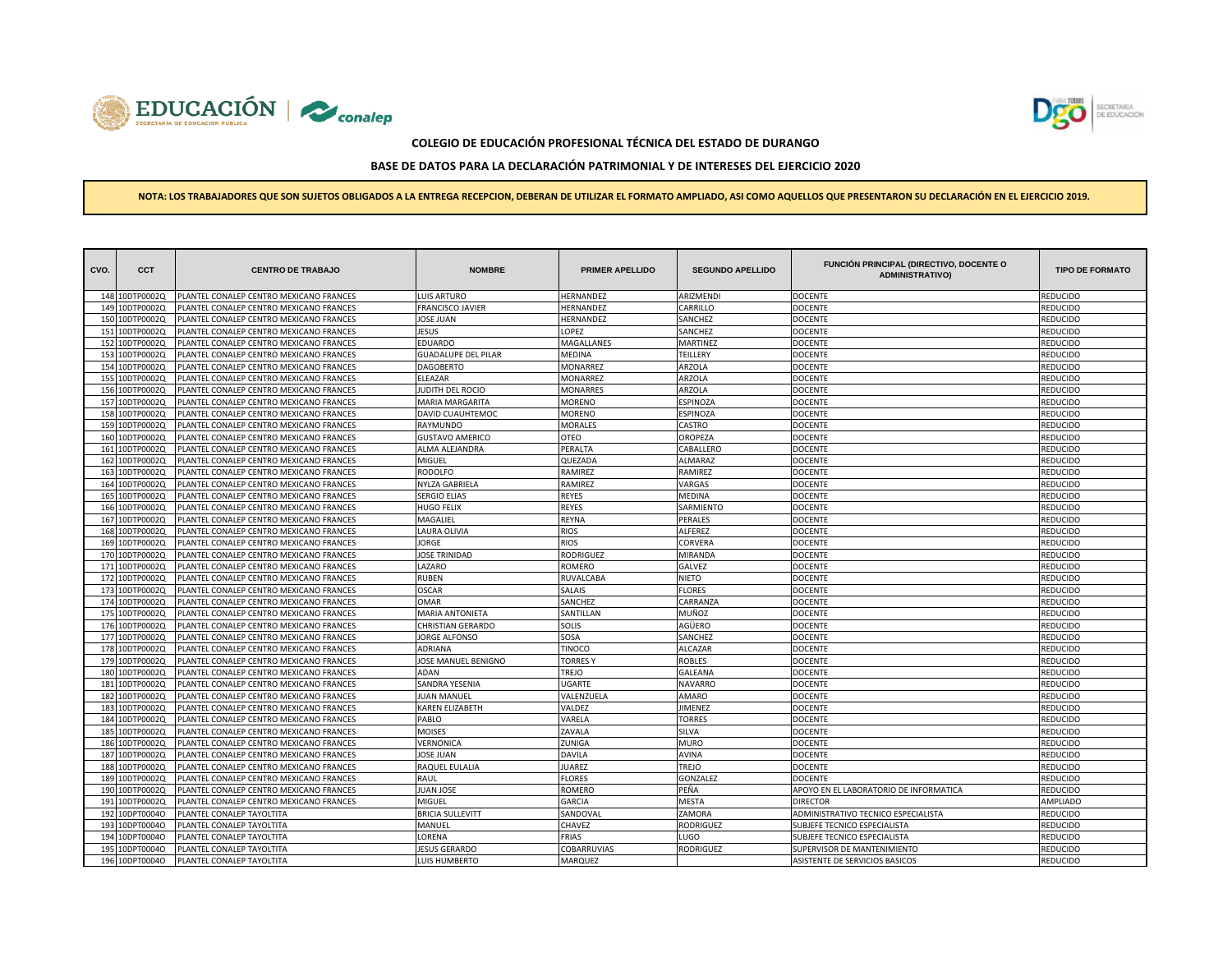



# **BASE DE DATOS PARA LA DECLARACIÓN PATRIMONIAL Y DE INTERESES DEL EJERCICIO 2020**

| CVO. | <b>CCT</b>     | <b>CENTRO DE TRABAJO</b>                      | <b>NOMBRE</b>                       | <b>PRIMER APELLIDO</b> | <b>SEGUNDO APELLIDO</b> | <b>FUNCIÓN PRINCIPAL (DIRECTIVO, DOCENTE O</b><br><b>ADMINISTRATIVO)</b> | <b>TIPO DE FORMATO</b>      |
|------|----------------|-----------------------------------------------|-------------------------------------|------------------------|-------------------------|--------------------------------------------------------------------------|-----------------------------|
|      | 148 10DTP0002Q | PLANTEL CONALEP CENTRO MEXICANO FRANCES       | LUIS ARTURO                         | HERNANDEZ              | ARIZMENDI               | <b>DOCENTE</b>                                                           | REDUCIDO                    |
| 149  | 10DTP0002Q     | PLANTEL CONALEP CENTRO MEXICANO FRANCES       | FRANCISCO JAVIER                    | HERNANDEZ              | CARRILLO                | <b>DOCENTE</b>                                                           | REDUCIDO                    |
| 150  | LODTP0002Q     | PLANTEL CONALEP CENTRO MEXICANO FRANCES       | <b>IOSE JUAN</b>                    | HERNANDEZ              | SANCHEZ                 | <b>DOCENTE</b>                                                           | REDUCIDO                    |
| 151  | 10DTP0002Q     | PLANTEL CONALEP CENTRO MEXICANO FRANCES       | JESUS                               | LOPEZ                  | SANCHEZ                 | <b>DOCENTE</b>                                                           | <b>REDUCIDO</b>             |
| 152  | 10DTP0002Q     | PLANTEL CONALEP CENTRO MEXICANO FRANCES       | <b>EDUARDO</b>                      | MAGALLANES             | MARTINEZ                | <b>DOCENTE</b>                                                           | REDUCIDO                    |
| 153  | 10DTP0002Q     | PLANTEL CONALEP CENTRO MEXICANO FRANCES       | <b>GUADALUPE DEL PILAR</b>          | MEDINA                 | TEILLERY                | <b>DOCENTE</b>                                                           | REDUCIDO                    |
| 154  | 10DTP0002Q     | PLANTEL CONALEP CENTRO MEXICANO FRANCES       | <b>DAGOBERTO</b>                    | MONARREZ               | <b>ARZOLA</b>           | <b>DOCENTE</b>                                                           | <b>REDUCIDO</b>             |
| 155  | 10DTP0002Q     | PLANTEL CONALEP CENTRO MEXICANO FRANCES       | ELEAZAR                             | MONARREZ               | ARZOLA                  | <b>DOCENTE</b>                                                           | REDUCIDO                    |
| 156  | 10DTP0002Q     | PLANTEL CONALEP CENTRO MEXICANO FRANCES       | JUDITH DEL ROCIO                    | MONARRES               | ARZOLA                  | <b>DOCENTE</b>                                                           | REDUCIDO                    |
| 157  | 10DTP0002Q     | PLANTEL CONALEP CENTRO MEXICANO FRANCES       | MARIA MARGARITA                     | MORENO                 | ESPINOZA                | <b>DOCENTE</b>                                                           | REDUCIDO                    |
| 158  | 0DTP0002Q      | PLANTEL CONALEP CENTRO MEXICANO FRANCES       | DAVID CUAUHTEMOC                    | MORENO                 | <b>ESPINOZA</b>         | <b>DOCENTE</b>                                                           | REDUCIDO                    |
| 159  | 10DTP0002Q     | PLANTEL CONALEP CENTRO MEXICANO FRANCES       | RAYMUNDO                            | MORALES                | CASTRO                  | <b>DOCENTE</b>                                                           | <b>REDUCIDO</b>             |
| 160  | 10DTP0002Q     | PLANTEL CONALEP CENTRO MEXICANO FRANCES       | <b>GUSTAVO AMERICO</b>              | OTEO                   | OROPEZA                 | <b>DOCENTE</b>                                                           | REDUCIDO                    |
| 161  | 10DTP0002Q     | PLANTEL CONALEP CENTRO MEXICANO FRANCES       | ALMA ALEJANDRA                      | PERALTA                | CABALLERO               | <b>DOCENTE</b>                                                           | REDUCIDO                    |
| 162  | 10DTP0002Q     | PLANTEL CONALEP CENTRO MEXICANO FRANCES       | MIGUEL                              | QUEZADA                | <b>ALMARAZ</b>          | <b>DOCENTE</b>                                                           | REDUCIDO                    |
| 163  | 10DTP0002Q     | PLANTEL CONALEP CENTRO MEXICANO FRANCES       | RODOLFO                             | RAMIREZ                | RAMIREZ                 | <b>DOCENTE</b>                                                           | <b>REDUCIDO</b>             |
| 164  | 10DTP0002Q     | PLANTEL CONALEP CENTRO MEXICANO FRANCES       | NYLZA GABRIELA                      | RAMIREZ                | VARGAS                  | <b>DOCENTE</b>                                                           | <b>REDUCIDO</b>             |
| 165  | LODTP0002Q     | PLANTEL CONALEP CENTRO MEXICANO FRANCES       | <b>SERGIO ELIAS</b>                 | <b>REYES</b>           | <b>MEDINA</b>           | <b>DOCENTE</b>                                                           | <b>REDUCIDO</b>             |
| 166  | LODTP0002Q     | PLANTEL CONALEP CENTRO MEXICANO FRANCES       | HUGO FELIX                          | REYES                  | SARMIENTO               | <b>DOCENTE</b>                                                           | REDUCIDO                    |
| 167  | LODTP0002Q     | PLANTEL CONALEP CENTRO MEXICANO FRANCES       | MAGALIEL                            | REYNA                  | PERALES                 | <b>DOCENTE</b>                                                           | REDUCIDO                    |
| 168  | 10DTP0002Q     | PLANTEL CONALEP CENTRO MEXICANO FRANCES       | <b>AURA OLIVIA</b>                  | RIOS                   | ALFEREZ                 | <b>DOCENTE</b>                                                           | REDUCIDO                    |
| 169  | 0DTP0002Q      | PLANTEL CONALEP CENTRO MEXICANO FRANCES       | JORGE                               | <b>RIOS</b>            | CORVERA                 | <b>DOCENTE</b>                                                           | REDUCIDO                    |
| 170  | 10DTP0002Q     | PLANTEL CONALEP CENTRO MEXICANO FRANCES       | JOSE TRINIDAD                       | RODRIGUEZ              | <b>MIRANDA</b>          | <b>DOCENTE</b>                                                           | REDUCIDO                    |
| 171  | 10DTP0002Q     | PLANTEL CONALEP CENTRO MEXICANO FRANCES       | AZARO                               | ROMERO                 | GALVEZ                  | <b>DOCENTE</b>                                                           | <b>REDUCIDO</b>             |
| 172  | 10DTP0002Q     | PLANTEL CONALEP CENTRO MEXICANO FRANCES       | <b>NUBEN</b>                        | RUVALCABA              | <b>NIETO</b>            | <b>DOCENTE</b>                                                           | REDUCIDO                    |
| 173  | 10DTP0002Q     | PLANTEL CONALEP CENTRO MEXICANO FRANCES       | <b>OSCAR</b>                        | SALAIS                 | <b>FLORES</b>           | <b>DOCENTE</b>                                                           | <b>REDUCIDO</b>             |
|      | 174 10DTP0002Q | PLANTEL CONALEP CENTRO MEXICANO FRANCES       | <b>OMAR</b>                         | SANCHEZ                | CARRANZA                | <b>DOCENTE</b>                                                           | REDUCIDO                    |
| 175  | 10DTP0002Q     | PLANTEL CONALEP CENTRO MEXICANO FRANCES       | <b>MARIA ANTONIETA</b>              | SANTILLAN              | MUÑOZ                   | <b>DOCENTE</b>                                                           | REDUCIDO                    |
| 176  | 10DTP0002Q     | PLANTEL CONALEP CENTRO MEXICANO FRANCES       | CHRISTIAN GERARDO                   | SOLIS                  | AGÜERO                  | <b>DOCENTE</b>                                                           | <b>REDUCIDO</b>             |
|      | 177 10DTP0002Q | PLANTEL CONALEP CENTRO MEXICANO FRANCES       | <b>JORGE ALFONSO</b>                | SOSA                   | SANCHEZ                 | <b>DOCENTE</b>                                                           | REDUCIDO                    |
| 178  | 10DTP0002Q     | PLANTEL CONALEP CENTRO MEXICANO FRANCES       | <b>ADRIANA</b>                      | TINOCO                 | <b>ALCAZAR</b>          | <b>DOCENTE</b>                                                           | REDUCIDO                    |
| 179  | LODTP0002Q     | PLANTEL CONALEP CENTRO MEXICANO FRANCES       | JOSE MANUEL BENIGNO                 | <b>TORRES</b>          | <b>ROBLES</b>           | <b>DOCENTE</b>                                                           |                             |
| 180  | 10DTP0002Q     | PLANTEL CONALEP CENTRO MEXICANO FRANCES       | ADAN                                | TREJO                  | GALEANA                 | <b>DOCENTE</b>                                                           | REDUCIDO<br><b>REDUCIDO</b> |
| 181  | 10DTP0002Q     | PLANTEL CONALEP CENTRO MEXICANO FRANCES       |                                     | UGARTE                 | <b>NAVARRO</b>          | <b>DOCENTE</b>                                                           | REDUCIDO                    |
| 182  | 10DTP0002Q     | PLANTEL CONALEP CENTRO MEXICANO FRANCES       | SANDRA YESENIA<br><b>UAN MANUEL</b> | VALENZUELA             | AMARO                   | <b>DOCENTE</b>                                                           |                             |
|      |                |                                               |                                     |                        |                         |                                                                          | REDUCIDO                    |
| 183  | 0DTP0002Q      | PLANTEL CONALEP CENTRO MEXICANO FRANCES       | KAREN ELIZABETH                     | VALDEZ                 | JIMENEZ                 | <b>DOCENTE</b>                                                           | REDUCIDO                    |
| 184  | 10DTP0002Q     | PLANTEL CONALEP CENTRO MEXICANO FRANCES       | PABLO                               | VARELA                 | <b>TORRES</b>           | <b>DOCENTE</b>                                                           | <b>REDUCIDO</b>             |
| 185  | 10DTP0002Q     | PLANTEL CONALEP CENTRO MEXICANO FRANCES       | MOISES                              | ZAVALA                 | SILVA                   | <b>DOCENTE</b>                                                           | <b>REDUCIDO</b>             |
| 186  | 0DTP0002Q      | <b>LANTEL CONALEP CENTRO MEXICANO FRANCES</b> | VERNONICA                           | ZUNIGA                 | <b>MURO</b>             | <b>DOCENTE</b>                                                           | REDUCIDO                    |
| 187  | 10DTP0002Q     | PLANTEL CONALEP CENTRO MEXICANO FRANCES       | JOSE JUAN                           | DAVILA                 | AVINA                   | <b>DOCENTE</b>                                                           | REDUCIDO                    |
| 188  | LODTP0002Q     | <b>LANTEL CONALEP CENTRO MEXICANO FRANCES</b> | RAQUEL EULALIA                      | <b>JUAREZ</b>          | TREJO                   | <b>DOCENTE</b>                                                           | REDUCIDO                    |
| 189  | LODTP0002Q     | PLANTEL CONALEP CENTRO MEXICANO FRANCES       | RAUL                                | <b>FLORES</b>          | GONZALEZ                | <b>DOCENTE</b>                                                           | <b>REDUCIDO</b>             |
| 190  | 10DTP0002Q     | PLANTEL CONALEP CENTRO MEXICANO FRANCES       | JUAN JOSE                           | ROMERO                 | PEÑA                    | APOYO EN EL LABORATORIO DE INFORMATICA                                   | <b>REDUCIDO</b>             |
| 191  | 10DTP0002Q     | PLANTEL CONALEP CENTRO MEXICANO FRANCES       | MIGUEL                              | GARCIA                 | <b>MESTA</b>            | <b>DIRECTOR</b>                                                          | AMPLIADO                    |
| 192  | 10DPT0004O     | PLANTEL CONALEP TAYOLTITA                     | <b>BRICIA SULLEVITT</b>             | SANDOVAL               | ZAMORA                  | ADMINISTRATIVO TECNICO ESPECIALISTA                                      | REDUCIDO                    |
| 193  | 10DPT0004O     | <b>LANTEL CONALEP TAYOLTITA</b>               | MANUEL                              | CHAVEZ                 | <b>RODRIGUEZ</b>        | SUBJEFE TECNICO ESPECIALISTA                                             | REDUCIDO                    |
| 194  | 10DPT0004O     | LANTEL CONALEP TAYOLTITA                      | LORENA                              | FRIAS                  | LUGO                    | SUBJEFE TECNICO ESPECIALISTA                                             | REDUCIDO                    |
| 195  | 10DPT0004O     | PLANTEL CONALEP TAYOLTITA                     | <b>ESUS GERARDO</b>                 | COBARRUVIAS            | <b>RODRIGUEZ</b>        | SUPERVISOR DE MANTENIMIENTO                                              | REDUCIDO                    |
|      | 196 10DPT0004O | PLANTEL CONALEP TAYOLTITA                     | LUIS HUMBERTO                       | MARQUEZ                |                         | ASISTENTE DE SERVICIOS BASICOS                                           | <b>REDUCIDO</b>             |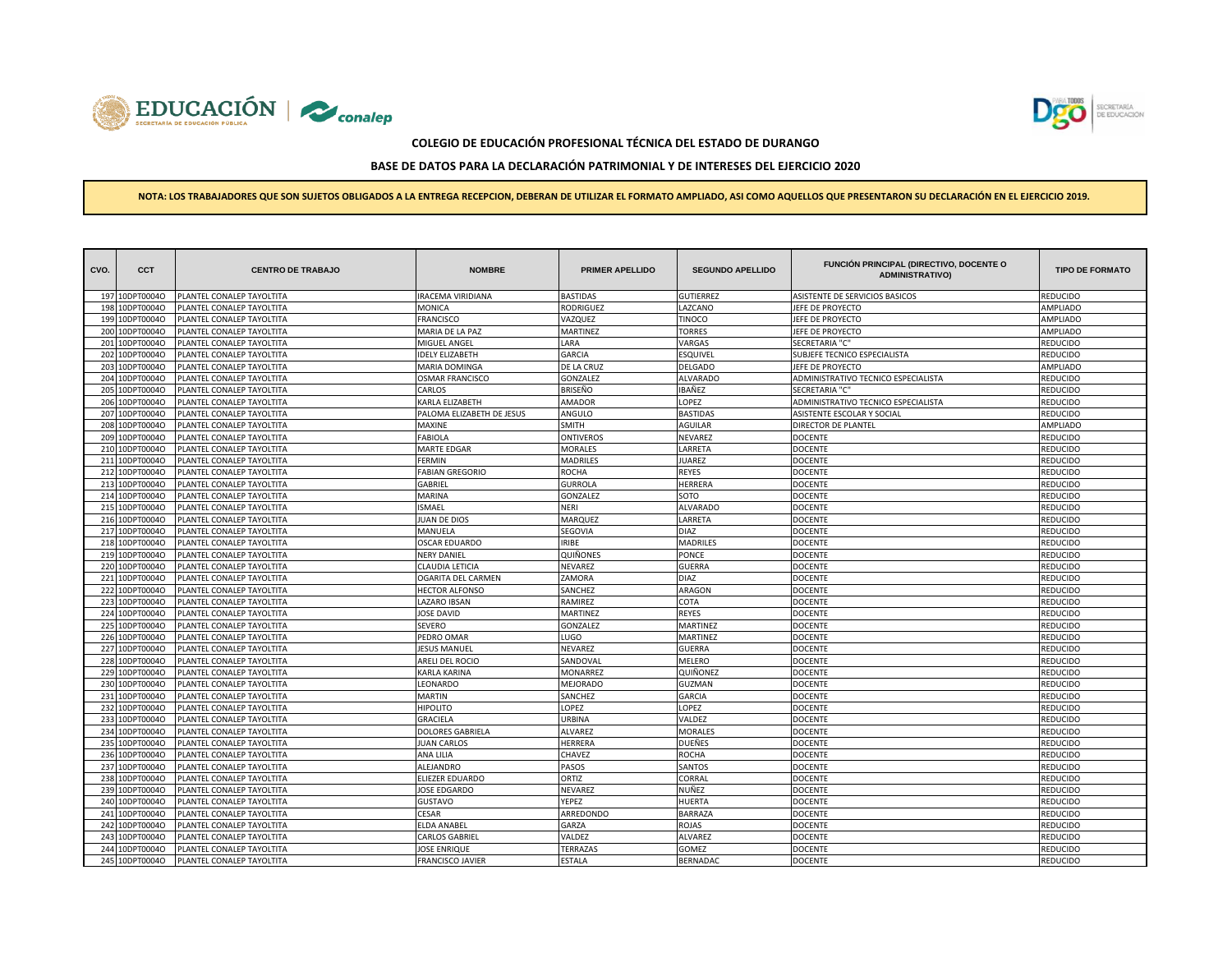



# **BASE DE DATOS PARA LA DECLARACIÓN PATRIMONIAL Y DE INTERESES DEL EJERCICIO 2020**

| CVO. | <b>CCT</b>     | <b>CENTRO DE TRABAJO</b>  | <b>NOMBRE</b>             | <b>PRIMER APELLIDO</b> | <b>SEGUNDO APELLIDO</b> | <b>FUNCIÓN PRINCIPAL (DIRECTIVO, DOCENTE O</b><br><b>ADMINISTRATIVO)</b> | <b>TIPO DE FORMATO</b> |
|------|----------------|---------------------------|---------------------------|------------------------|-------------------------|--------------------------------------------------------------------------|------------------------|
|      | 197 10DPT0004O | PLANTEL CONALEP TAYOLTITA | RACEMA VIRIDIANA          | <b>BASTIDAS</b>        | <b>GUTIERREZ</b>        | ASISTENTE DE SERVICIOS BASICOS                                           | REDUCIDO               |
|      | 198 10DPT0004O | PLANTEL CONALEP TAYOLTITA | MONICA                    | RODRIGUEZ              | LAZCANO                 | JEFE DE PROYECTO                                                         | AMPLIADO               |
| 199  | 10DPT0004O     | PLANTEL CONALEP TAYOLTITA | <b>FRANCISCO</b>          | VAZQUEZ                | <b>TINOCO</b>           | JEFE DE PROYECTO                                                         | AMPLIADO               |
| 200  | 10DPT0004O     | PLANTEL CONALEP TAYOLTITA | MARIA DE LA PAZ           | MARTINEZ               | <b>TORRES</b>           | JEFE DE PROYECTO                                                         | AMPLIADO               |
| 201  | 10DPT0004O     | PLANTEL CONALEP TAYOLTITA | MIGUEL ANGEL              | LARA                   | VARGAS                  | <b>SECRETARIA "C"</b>                                                    | REDUCIDO               |
| 202  | 10DPT0004O     | PLANTEL CONALEP TAYOLTITA | <b>DELY ELIZABETH</b>     | <b>GARCIA</b>          | <b>ESQUIVEL</b>         | SUBJEFE TECNICO ESPECIALISTA                                             | REDUCIDO               |
| 203  | 10DPT0004O     | PLANTEL CONALEP TAYOLTITA | MARIA DOMINGA             | DE LA CRUZ             | <b>DELGADO</b>          | JEFE DE PROYECTO                                                         | AMPLIADO               |
| 204  | 10DPT0004O     | PLANTEL CONALEP TAYOLTITA | <b>OSMAR FRANCISCO</b>    | GONZALEZ               | <b>ALVARADO</b>         | ADMINISTRATIVO TECNICO ESPECIALISTA                                      | <b>EDUCIDO</b>         |
| 205  | 10DPT0004O     | PLANTEL CONALEP TAYOLTITA | CARLOS                    | BRISEÑO                | IBAÑEZ                  | SECRETARIA "C"                                                           | REDUCIDO               |
| 206  | 10DPT0004O     | PLANTEL CONALEP TAYOLTITA | KARLA ELIZABETH           | AMADOR                 | LOPEZ                   | ADMINISTRATIVO TECNICO ESPECIALISTA                                      | REDUCIDO               |
| 207  | 10DPT0004O     | PLANTEL CONALEP TAYOLTITA | PALOMA ELIZABETH DE JESUS | ANGULO                 | <b>BASTIDAS</b>         | ASISTENTE ESCOLAR Y SOCIAL                                               | REDUCIDO               |
|      | 208 10DPT0004O | PLANTEL CONALEP TAYOLTITA | MAXINE                    | <b>SMITH</b>           | <b>AGUILAR</b>          | DIRECTOR DE PLANTEL                                                      | <b>AMPLIADO</b>        |
|      | 209 10DPT0004O | PLANTEL CONALEP TAYOLTITA | FABIOLA                   | ONTIVEROS              | NEVAREZ                 | <b>DOCENTE</b>                                                           | REDUCIDO               |
|      | 210 10DPT0004O | PLANTEL CONALEP TAYOLTITA | MARTE EDGAR               | MORALES                | LARRETA                 | <b>DOCENTE</b>                                                           | REDUCIDO               |
|      | 211 10DPT0004O | PLANTEL CONALEP TAYOLTITA | <b>FERMIN</b>             | <b>MADRILES</b>        | <b>JUAREZ</b>           | <b>DOCENTE</b>                                                           | REDUCIDO               |
|      | 212 10DPT0004O | PLANTEL CONALEP TAYOLTITA | <b>FABIAN GREGORIO</b>    | <b>ROCHA</b>           | REYES                   | <b>DOCENTE</b>                                                           | REDUCIDO               |
| 213  | 10DPT0004O     | PLANTEL CONALEP TAYOLTITA | GABRIEL                   | <b>GURROLA</b>         | <b>HERRERA</b>          | <b>DOCENTE</b>                                                           | REDUCIDO               |
| 214  | 10DPT0004O     | PLANTEL CONALEP TAYOLTITA | MARINA                    | GONZALEZ               | SOTO                    | <b>DOCENTE</b>                                                           | REDUCIDO               |
| 215  | 10DPT0004O     | PLANTEL CONALEP TAYOLTITA | <b>SMAEL</b>              | NERI                   | <b>ALVARADO</b>         | <b>DOCENTE</b>                                                           | REDUCIDO               |
|      | 216 10DPT0004O | PLANTEL CONALEP TAYOLTITA | <b>JUAN DE DIOS</b>       | MARQUEZ                | LARRETA                 | <b>DOCENTE</b>                                                           | REDUCIDO               |
|      | 217 10DPT0004O | PLANTEL CONALEP TAYOLTITA | MANUELA                   | SEGOVIA                | <b>DIAZ</b>             | <b>DOCENTE</b>                                                           | REDUCIDO               |
| 218  | 10DPT0004O     | PLANTEL CONALEP TAYOLTITA | <b>OSCAR EDUARDO</b>      | <b>IRIBE</b>           | <b>MADRILES</b>         | <b>DOCENTE</b>                                                           | REDUCIDO               |
| 219  | 10DPT0004O     | PLANTEL CONALEP TAYOLTITA | <b>NERY DANIEL</b>        | QUIÑONES               | PONCE                   | <b>DOCENTE</b>                                                           | REDUCIDO               |
| 220  | 10DPT0004O     | PLANTEL CONALEP TAYOLTITA | CLAUDIA LETICIA           | NEVAREZ                | <b>GUERRA</b>           | <b>DOCENTE</b>                                                           | REDUCIDO               |
| 221  | 10DPT0004O     | PLANTEL CONALEP TAYOLTITA | OGARITA DEL CARMEN        | ZAMORA                 | <b>DIAZ</b>             | <b>DOCENTE</b>                                                           | REDUCIDO               |
|      | 222 10DPT0004O | PLANTEL CONALEP TAYOLTITA | <b>HECTOR ALFONSO</b>     | SANCHEZ                | ARAGON                  | <b>DOCENTE</b>                                                           | REDUCIDO               |
| 223  | 10DPT0004O     | PLANTEL CONALEP TAYOLTITA | LAZARO IBSAN              | RAMIREZ                | COTA                    | DOCENTE                                                                  | <b>EDUCIDO</b>         |
| 224  | 10DPT0004O     | PLANTEL CONALEP TAYOLTITA | <b>JOSE DAVID</b>         | MARTINEZ               | REYES                   | <b>DOCENTE</b>                                                           | REDUCIDO               |
| 225  | 10DPT0004O     | PLANTEL CONALEP TAYOLTITA | <b>SEVERO</b>             | GONZALEZ               | MARTINEZ                | <b>DOCENTE</b>                                                           | REDUCIDO               |
|      | 226 10DPT0004O | PLANTEL CONALEP TAYOLTITA | PEDRO OMAR                | LUGO                   | MARTINEZ                | <b>DOCENTE</b>                                                           | REDUCIDO               |
|      | 227 10DPT0004O | PLANTEL CONALEP TAYOLTITA | <b>JESUS MANUEL</b>       | NEVAREZ                | <b>GUERRA</b>           | <b>DOCENTE</b>                                                           | REDUCIDO               |
| 228  | 10DPT0004O     | PLANTEL CONALEP TAYOLTITA | ARELI DEL ROCIO           | SANDOVAL               | MELERO                  | <b>DOCENTE</b>                                                           | REDUCIDO               |
|      | 229 10DPT0004O | PLANTEL CONALEP TAYOLTITA | KARLA KARINA              | MONARREZ               | QUIÑONEZ                | <b>DOCENTE</b>                                                           | REDUCIDO               |
| 230  | 10DPT0004O     | PLANTEL CONALEP TAYOLTITA | LEONARDO                  | MEJORADO               | <b>GUZMAN</b>           | <b>DOCENTE</b>                                                           | REDUCIDO               |
| 231  | 10DPT0004O     | PLANTEL CONALEP TAYOLTITA | <b>MARTIN</b>             | SANCHEZ                | <b>GARCIA</b>           | <b>DOCENTE</b>                                                           | REDUCIDO               |
| 232  | 10DPT0004O     | PLANTEL CONALEP TAYOLTITA | <b>HIPOLITO</b>           | LOPEZ                  | LOPEZ                   | <b>DOCENTE</b>                                                           | REDUCIDO               |
| 233  | 10DPT0004O     | PLANTEL CONALEP TAYOLTITA | <b>GRACIELA</b>           | URBINA                 | VALDEZ                  | <b>DOCENTE</b>                                                           | <b>EDUCIDO</b>         |
| 234  | 10DPT0004O     | PLANTEL CONALEP TAYOLTITA | DOLORES GABRIELA          | <b>ALVAREZ</b>         | <b>MORALES</b>          | <b>DOCENTE</b>                                                           | REDUCIDO               |
| 235  | 10DPT0004O     | PLANTEL CONALEP TAYOLTITA | <b>JUAN CARLOS</b>        | HERRERA                | DUEÑES                  | <b>DOCENTE</b>                                                           | REDUCIDO               |
| 236  | 10DPT0004O     | PLANTEL CONALEP TAYOLTITA | ANA LILIA                 | CHAVEZ                 | ROCHA                   | <b>DOCENTE</b>                                                           | REDUCIDO               |
| 237  | 10DPT0004O     | PLANTEL CONALEP TAYOLTITA | ALEJANDRO                 | PASOS                  | SANTOS                  | <b>DOCENTE</b>                                                           | REDUCIDO               |
| 238  | 10DPT0004O     | PLANTEL CONALEP TAYOLTITA | ELIEZER EDUARDO           | ORTIZ                  | CORRAL                  | <b>DOCENTE</b>                                                           | REDUCIDO               |
|      | 239 10DPT0004O | PLANTEL CONALEP TAYOLTITA | JOSE EDGARDO              | NEVAREZ                | NUÑEZ                   | <b>DOCENTE</b>                                                           | REDUCIDO               |
|      | 240 10DPT0004O | PLANTEL CONALEP TAYOLTITA | <b>GUSTAVO</b>            | YEPEZ                  | <b>HUERTA</b>           | <b>DOCENTE</b>                                                           | REDUCIDO               |
|      | 241 10DPT0004O | PLANTEL CONALEP TAYOLTITA | CESAR                     | ARREDONDO              | <b>BARRAZA</b>          | <b>DOCENTE</b>                                                           | REDUCIDO               |
| 242  | 10DPT0004O     | PLANTEL CONALEP TAYOLTITA | ELDA ANABEL               | GARZA                  | ROJAS                   | <b>DOCENTE</b>                                                           | REDUCIDO               |
| 243  | 10DPT0004O     | LANTEL CONALEP TAYOLTITA  | CARLOS GABRIEI            | VALDEZ                 | ALVAREZ                 | <b>DOCENTE</b>                                                           | REDUCIDO               |
| 244  | 10DPT0004O     | PLANTEL CONALEP TAYOLTITA | JOSE ENRIQUE              | <b>TERRAZAS</b>        | GOMEZ                   | <b>DOCENTE</b>                                                           | REDUCIDO               |
|      | 245 10DPT0004O | PLANTEL CONALEP TAYOLTITA | <b>FRANCISCO JAVIER</b>   | <b>ESTALA</b>          | <b>BERNADAC</b>         | <b>DOCENTE</b>                                                           | REDUCIDO               |